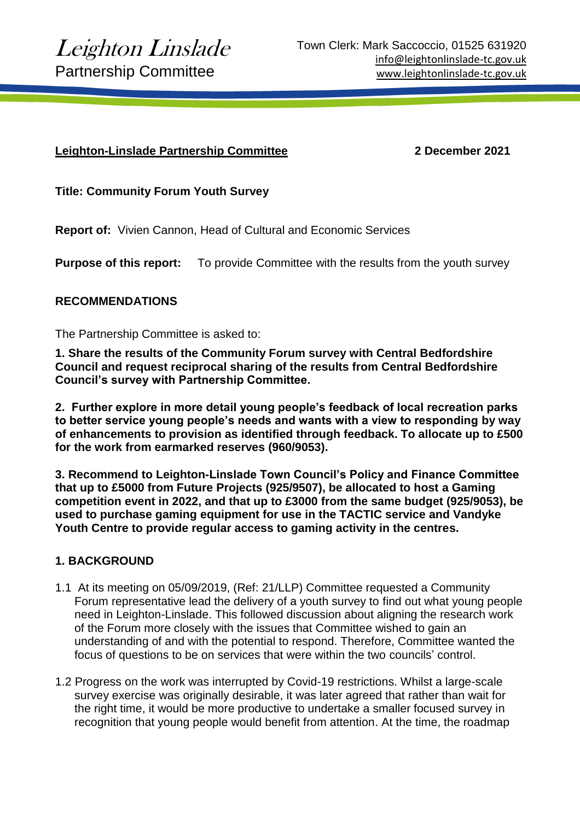# Leighton Linslade Partnership Committee

#### **Leighton-Linslade Partnership Committee 2 December 2021**

**Title: Community Forum Youth Survey**

**Report of:** Vivien Cannon, Head of Cultural and Economic Services

**Purpose of this report:** To provide Committee with the results from the youth survey

## **RECOMMENDATIONS**

The Partnership Committee is asked to:

**1. Share the results of the Community Forum survey with Central Bedfordshire Council and request reciprocal sharing of the results from Central Bedfordshire Council's survey with Partnership Committee.** 

**2. Further explore in more detail young people's feedback of local recreation parks to better service young people's needs and wants with a view to responding by way of enhancements to provision as identified through feedback. To allocate up to £500 for the work from earmarked reserves (960/9053).** 

**3. Recommend to Leighton-Linslade Town Council's Policy and Finance Committee that up to £5000 from Future Projects (925/9507), be allocated to host a Gaming competition event in 2022, and that up to £3000 from the same budget (925/9053), be used to purchase gaming equipment for use in the TACTIC service and Vandyke Youth Centre to provide regular access to gaming activity in the centres.** 

#### **1. BACKGROUND**

- 1.1 At its meeting on 05/09/2019, (Ref: 21/LLP) Committee requested a Community Forum representative lead the delivery of a youth survey to find out what young people need in Leighton-Linslade. This followed discussion about aligning the research work of the Forum more closely with the issues that Committee wished to gain an understanding of and with the potential to respond. Therefore, Committee wanted the focus of questions to be on services that were within the two councils' control.
- 1.2 Progress on the work was interrupted by Covid-19 restrictions. Whilst a large-scale survey exercise was originally desirable, it was later agreed that rather than wait for the right time, it would be more productive to undertake a smaller focused survey in recognition that young people would benefit from attention. At the time, the roadmap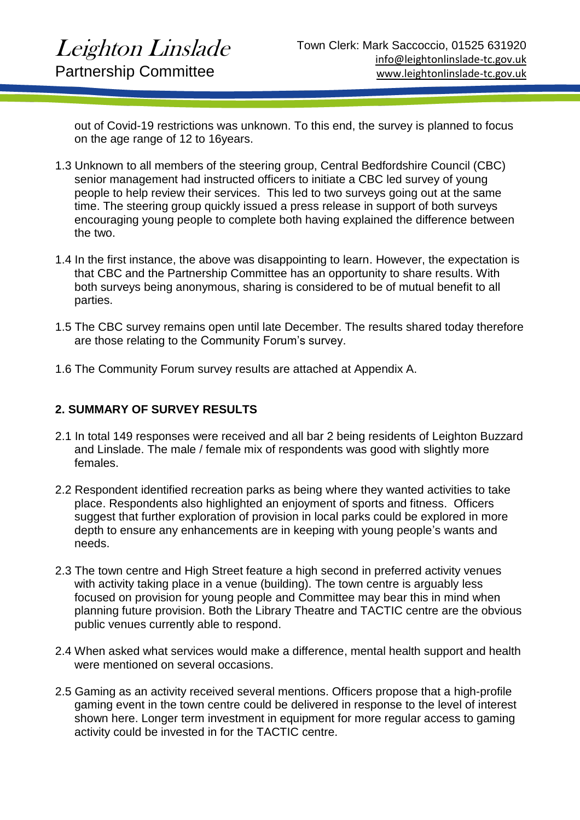out of Covid-19 restrictions was unknown. To this end, the survey is planned to focus on the age range of 12 to 16years.

- 1.3 Unknown to all members of the steering group, Central Bedfordshire Council (CBC) senior management had instructed officers to initiate a CBC led survey of young people to help review their services. This led to two surveys going out at the same time. The steering group quickly issued a press release in support of both surveys encouraging young people to complete both having explained the difference between the two.
- 1.4 In the first instance, the above was disappointing to learn. However, the expectation is that CBC and the Partnership Committee has an opportunity to share results. With both surveys being anonymous, sharing is considered to be of mutual benefit to all parties.
- 1.5 The CBC survey remains open until late December. The results shared today therefore are those relating to the Community Forum's survey.
- 1.6 The Community Forum survey results are attached at Appendix A.

#### **2. SUMMARY OF SURVEY RESULTS**

- 2.1 In total 149 responses were received and all bar 2 being residents of Leighton Buzzard and Linslade. The male / female mix of respondents was good with slightly more females.
- 2.2 Respondent identified recreation parks as being where they wanted activities to take place. Respondents also highlighted an enjoyment of sports and fitness. Officers suggest that further exploration of provision in local parks could be explored in more depth to ensure any enhancements are in keeping with young people's wants and needs.
- 2.3 The town centre and High Street feature a high second in preferred activity venues with activity taking place in a venue (building). The town centre is arguably less focused on provision for young people and Committee may bear this in mind when planning future provision. Both the Library Theatre and TACTIC centre are the obvious public venues currently able to respond.
- 2.4 When asked what services would make a difference, mental health support and health were mentioned on several occasions.
- 2.5 Gaming as an activity received several mentions. Officers propose that a high-profile gaming event in the town centre could be delivered in response to the level of interest shown here. Longer term investment in equipment for more regular access to gaming activity could be invested in for the TACTIC centre.